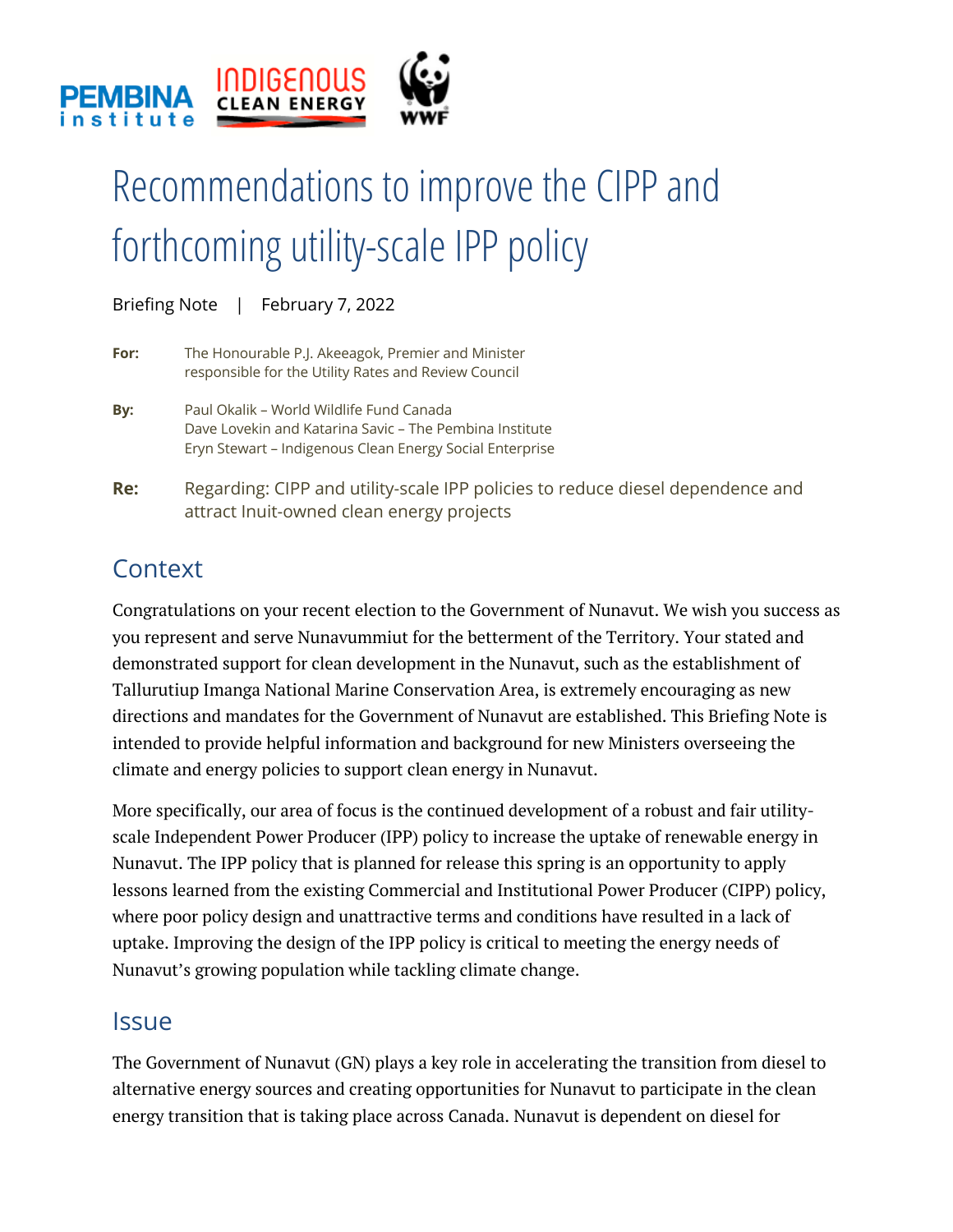

# Recommendations to improve the CIPP and forthcoming utility-scale IPP policy

Briefing Note | February 7, 2022

**For:** The Honourable P.J. Akeeagok, Premier and Minister responsible for the Utility Rates and Review Council

- **By:** Paul Okalik World Wildlife Fund Canada Dave Lovekin and Katarina Savic – The Pembina Institute Eryn Stewart – Indigenous Clean Energy Social Enterprise
- **Re:** Regarding: CIPP and utility-scale IPP policies to reduce diesel dependence and attract Inuit-owned clean energy projects

## **Context**

Congratulations on your recent election to the Government of Nunavut. We wish you success as you represent and serve Nunavummiut for the betterment of the Territory. Your stated and demonstrated support for clean development in the Nunavut, such as the establishment of Tallurutiup Imanga National Marine Conservation Area, is extremely encouraging as new directions and mandates for the Government of Nunavut are established. This Briefing Note is intended to provide helpful information and background for new Ministers overseeing the climate and energy policies to support clean energy in Nunavut.

More specifically, our area of focus is the continued development of a robust and fair utilityscale Independent Power Producer (IPP) policy to increase the uptake of renewable energy in Nunavut. The IPP policy that is planned for release this spring is an opportunity to apply lessons learned from the existing Commercial and Institutional Power Producer (CIPP) policy, where poor policy design and unattractive terms and conditions have resulted in a lack of uptake. Improving the design of the IPP policy is critical to meeting the energy needs of Nunavut's growing population while tackling climate change.

#### **Issue**

The Government of Nunavut (GN) plays a key role in accelerating the transition from diesel to alternative energy sources and creating opportunities for Nunavut to participate in the clean energy transition that is taking place across Canada. Nunavut is dependent on diesel for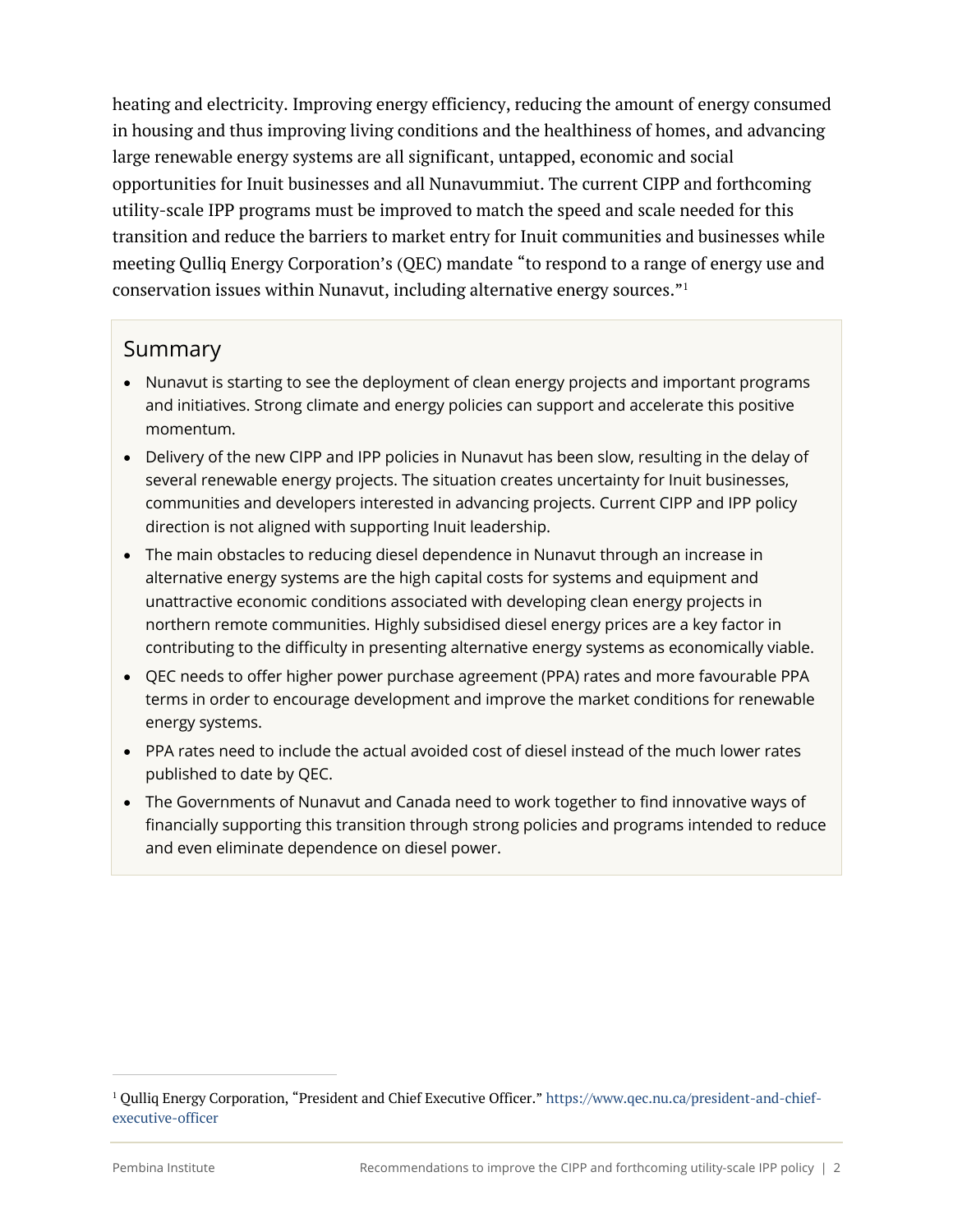heating and electricity. Improving energy efficiency, reducing the amount of energy consumed in housing and thus improving living conditions and the healthiness of homes, and advancing large renewable energy systems are all significant, untapped, economic and social opportunities for Inuit businesses and all Nunavummiut. The current CIPP and forthcoming utility-scale IPP programs must be improved to match the speed and scale needed for this transition and reduce the barriers to market entry for Inuit communities and businesses while meeting Qulliq Energy Corporation's (QEC) mandate "to respond to a range of energy use and conservation issues within Nunavut, including alternative energy sources."1

#### Summary

- Nunavut is starting to see the deployment of clean energy projects and important programs and initiatives. Strong climate and energy policies can support and accelerate this positive momentum.
- Delivery of the new CIPP and IPP policies in Nunavut has been slow, resulting in the delay of several renewable energy projects. The situation creates uncertainty for Inuit businesses, communities and developers interested in advancing projects. Current CIPP and IPP policy direction is not aligned with supporting Inuit leadership.
- The main obstacles to reducing diesel dependence in Nunavut through an increase in alternative energy systems are the high capital costs for systems and equipment and unattractive economic conditions associated with developing clean energy projects in northern remote communities. Highly subsidised diesel energy prices are a key factor in contributing to the difficulty in presenting alternative energy systems as economically viable.
- QEC needs to offer higher power purchase agreement (PPA) rates and more favourable PPA terms in order to encourage development and improve the market conditions for renewable energy systems.
- PPA rates need to include the actual avoided cost of diesel instead of the much lower rates published to date by QEC.
- The Governments of Nunavut and Canada need to work together to find innovative ways of financially supporting this transition through strong policies and programs intended to reduce and even eliminate dependence on diesel power.

<sup>1</sup> Qulliq Energy Corporation, "President and Chief Executive Officer." https://www.qec.nu.ca/president-and-chiefexecutive-officer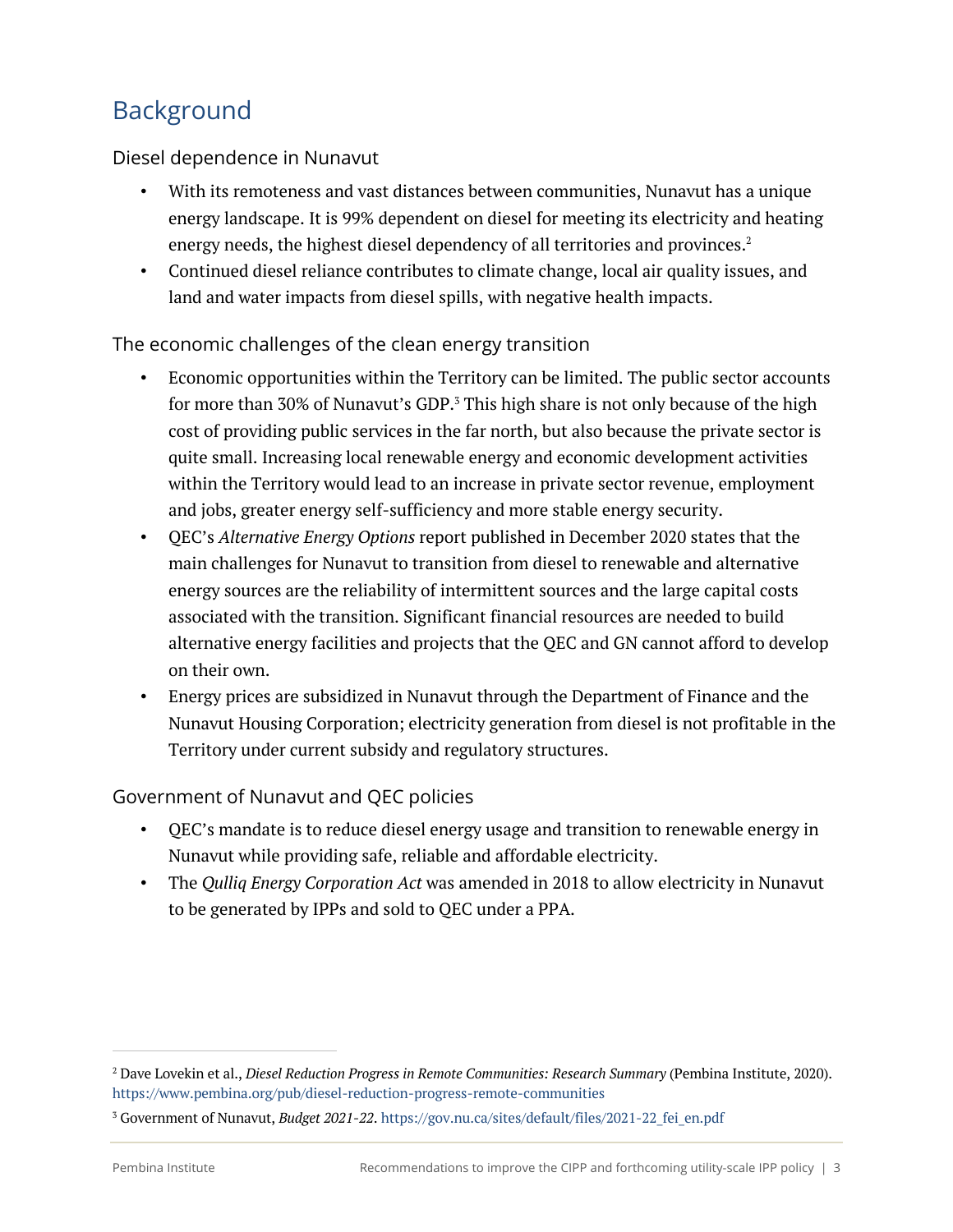# Background

Diesel dependence in Nunavut

- With its remoteness and vast distances between communities, Nunavut has a unique energy landscape. It is 99% dependent on diesel for meeting its electricity and heating energy needs, the highest diesel dependency of all territories and provinces.<sup>2</sup>
- Continued diesel reliance contributes to climate change, local air quality issues, and land and water impacts from diesel spills, with negative health impacts.

The economic challenges of the clean energy transition

- Economic opportunities within the Territory can be limited. The public sector accounts for more than 30% of Nunavut's GDP.<sup>3</sup> This high share is not only because of the high cost of providing public services in the far north, but also because the private sector is quite small. Increasing local renewable energy and economic development activities within the Territory would lead to an increase in private sector revenue, employment and jobs, greater energy self-sufficiency and more stable energy security.
- QEC's *Alternative Energy Options* report published in December 2020 states that the main challenges for Nunavut to transition from diesel to renewable and alternative energy sources are the reliability of intermittent sources and the large capital costs associated with the transition. Significant financial resources are needed to build alternative energy facilities and projects that the QEC and GN cannot afford to develop on their own.
- Energy prices are subsidized in Nunavut through the Department of Finance and the Nunavut Housing Corporation; electricity generation from diesel is not profitable in the Territory under current subsidy and regulatory structures.

#### Government of Nunavut and QEC policies

- QEC's mandate is to reduce diesel energy usage and transition to renewable energy in Nunavut while providing safe, reliable and affordable electricity.
- The *Qulliq Energy Corporation Act* was amended in 2018 to allow electricity in Nunavut to be generated by IPPs and sold to QEC under a PPA.

<sup>2</sup> Dave Lovekin et al., *Diesel Reduction Progress in Remote Communities: Research Summary* (Pembina Institute, 2020). https://www.pembina.org/pub/diesel-reduction-progress-remote-communities

<sup>&</sup>lt;sup>3</sup> Government of Nunavut, *Budget 2021-22*. https://gov.nu.ca/sites/default/files/2021-22 fei en.pdf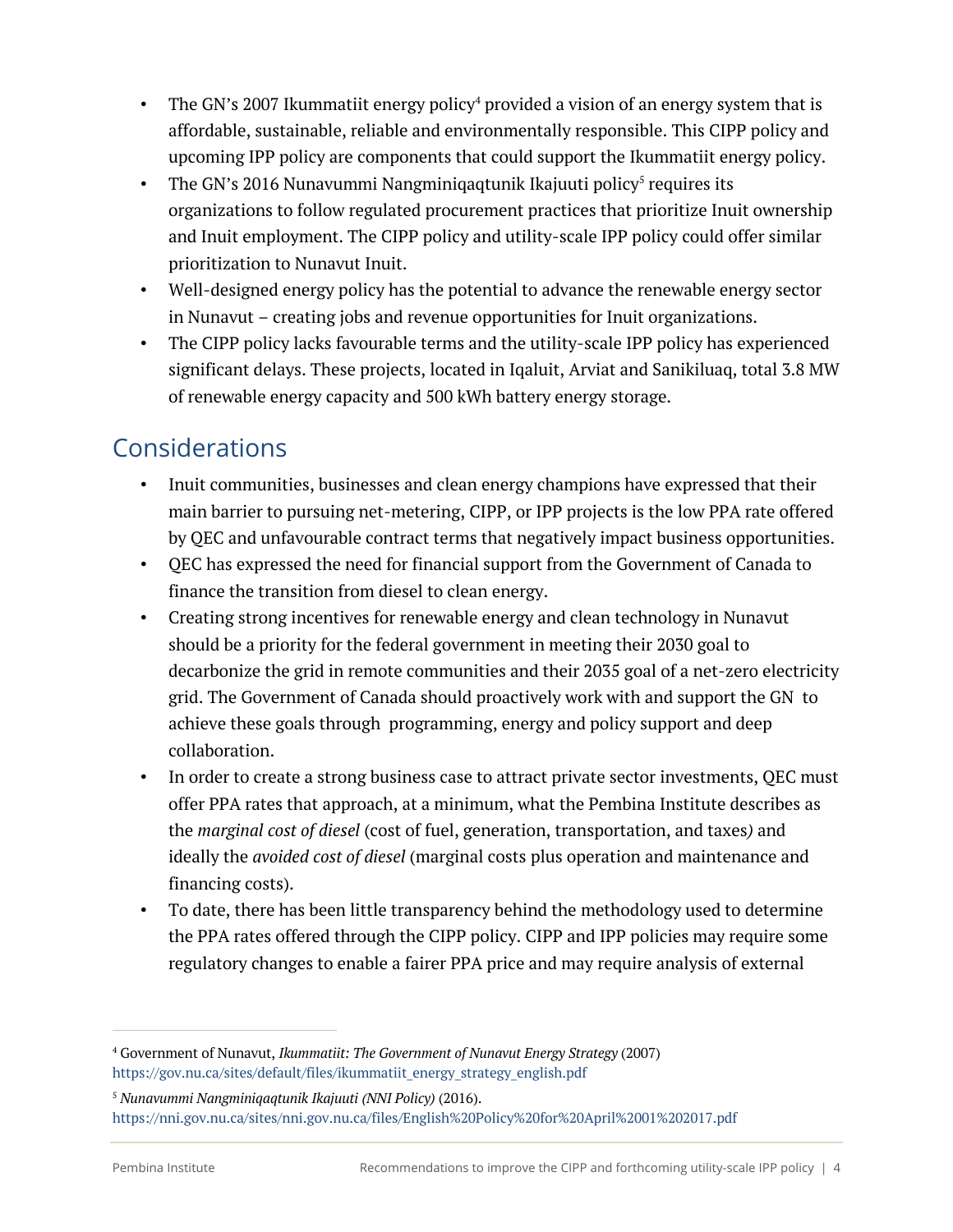- The GN's 2007 Ikummatiit energy policy<sup>4</sup> provided a vision of an energy system that is affordable, sustainable, reliable and environmentally responsible. This CIPP policy and upcoming IPP policy are components that could support the Ikummatiit energy policy.
- The GN's 2016 Nunavummi Nangminiqaqtunik Ikajuuti policy<sup>5</sup> requires its organizations to follow regulated procurement practices that prioritize Inuit ownership and Inuit employment. The CIPP policy and utility-scale IPP policy could offer similar prioritization to Nunavut Inuit.
- Well-designed energy policy has the potential to advance the renewable energy sector in Nunavut – creating jobs and revenue opportunities for Inuit organizations.
- The CIPP policy lacks favourable terms and the utility-scale IPP policy has experienced significant delays. These projects, located in Iqaluit, Arviat and Sanikiluaq, total 3.8 MW of renewable energy capacity and 500 kWh battery energy storage.

### Considerations

- Inuit communities, businesses and clean energy champions have expressed that their main barrier to pursuing net-metering, CIPP, or IPP projects is the low PPA rate offered by QEC and unfavourable contract terms that negatively impact business opportunities.
- QEC has expressed the need for financial support from the Government of Canada to finance the transition from diesel to clean energy.
- Creating strong incentives for renewable energy and clean technology in Nunavut should be a priority for the federal government in meeting their 2030 goal to decarbonize the grid in remote communities and their 2035 goal of a net-zero electricity grid. The Government of Canada should proactively work with and support the GN to achieve these goals through programming, energy and policy support and deep collaboration.
- In order to create a strong business case to attract private sector investments, QEC must offer PPA rates that approach, at a minimum, what the Pembina Institute describes as the *marginal cost of diesel* (cost of fuel, generation, transportation, and taxes*)* and ideally the *avoided cost of diesel* (marginal costs plus operation and maintenance and financing costs).
- To date, there has been little transparency behind the methodology used to determine the PPA rates offered through the CIPP policy. CIPP and IPP policies may require some regulatory changes to enable a fairer PPA price and may require analysis of external

<sup>4</sup> Government of Nunavut, *Ikummatiit: The Government of Nunavut Energy Strategy* (2007) https://gov.nu.ca/sites/default/files/ikummatiit\_energy\_strategy\_english.pdf

<sup>5</sup> *Nunavummi Nangminiqaqtunik Ikajuuti (NNI Policy)* (2016). https://nni.gov.nu.ca/sites/nni.gov.nu.ca/files/English%20Policy%20for%20April%2001%202017.pdf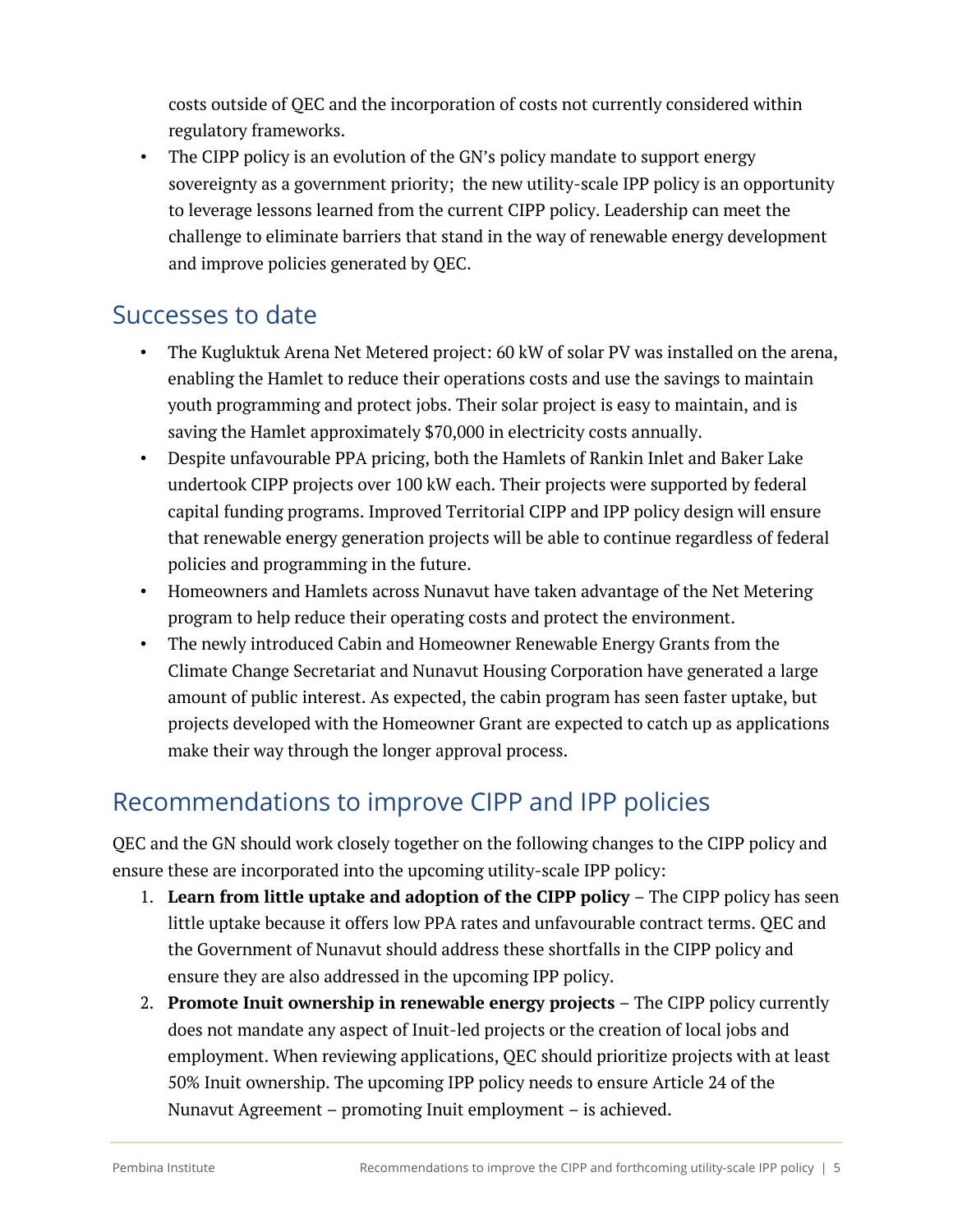costs outside of QEC and the incorporation of costs not currently considered within regulatory frameworks.

• The CIPP policy is an evolution of the GN's policy mandate to support energy sovereignty as a government priority; the new utility-scale IPP policy is an opportunity to leverage lessons learned from the current CIPP policy. Leadership can meet the challenge to eliminate barriers that stand in the way of renewable energy development and improve policies generated by QEC.

#### Successes to date

- The Kugluktuk Arena Net Metered project: 60 kW of solar PV was installed on the arena, enabling the Hamlet to reduce their operations costs and use the savings to maintain youth programming and protect jobs. Their solar project is easy to maintain, and is saving the Hamlet approximately \$70,000 in electricity costs annually.
- Despite unfavourable PPA pricing, both the Hamlets of Rankin Inlet and Baker Lake undertook CIPP projects over 100 kW each. Their projects were supported by federal capital funding programs. Improved Territorial CIPP and IPP policy design will ensure that renewable energy generation projects will be able to continue regardless of federal policies and programming in the future.
- Homeowners and Hamlets across Nunavut have taken advantage of the Net Metering program to help reduce their operating costs and protect the environment.
- The newly introduced Cabin and Homeowner Renewable Energy Grants from the Climate Change Secretariat and Nunavut Housing Corporation have generated a large amount of public interest. As expected, the cabin program has seen faster uptake, but projects developed with the Homeowner Grant are expected to catch up as applications make their way through the longer approval process.

## Recommendations to improve CIPP and IPP policies

QEC and the GN should work closely together on the following changes to the CIPP policy and ensure these are incorporated into the upcoming utility-scale IPP policy:

- 1. **Learn from little uptake and adoption of the CIPP policy** The CIPP policy has seen little uptake because it offers low PPA rates and unfavourable contract terms. QEC and the Government of Nunavut should address these shortfalls in the CIPP policy and ensure they are also addressed in the upcoming IPP policy.
- 2. **Promote Inuit ownership in renewable energy projects** The CIPP policy currently does not mandate any aspect of Inuit-led projects or the creation of local jobs and employment. When reviewing applications, QEC should prioritize projects with at least 50% Inuit ownership. The upcoming IPP policy needs to ensure Article 24 of the Nunavut Agreement – promoting Inuit employment – is achieved.